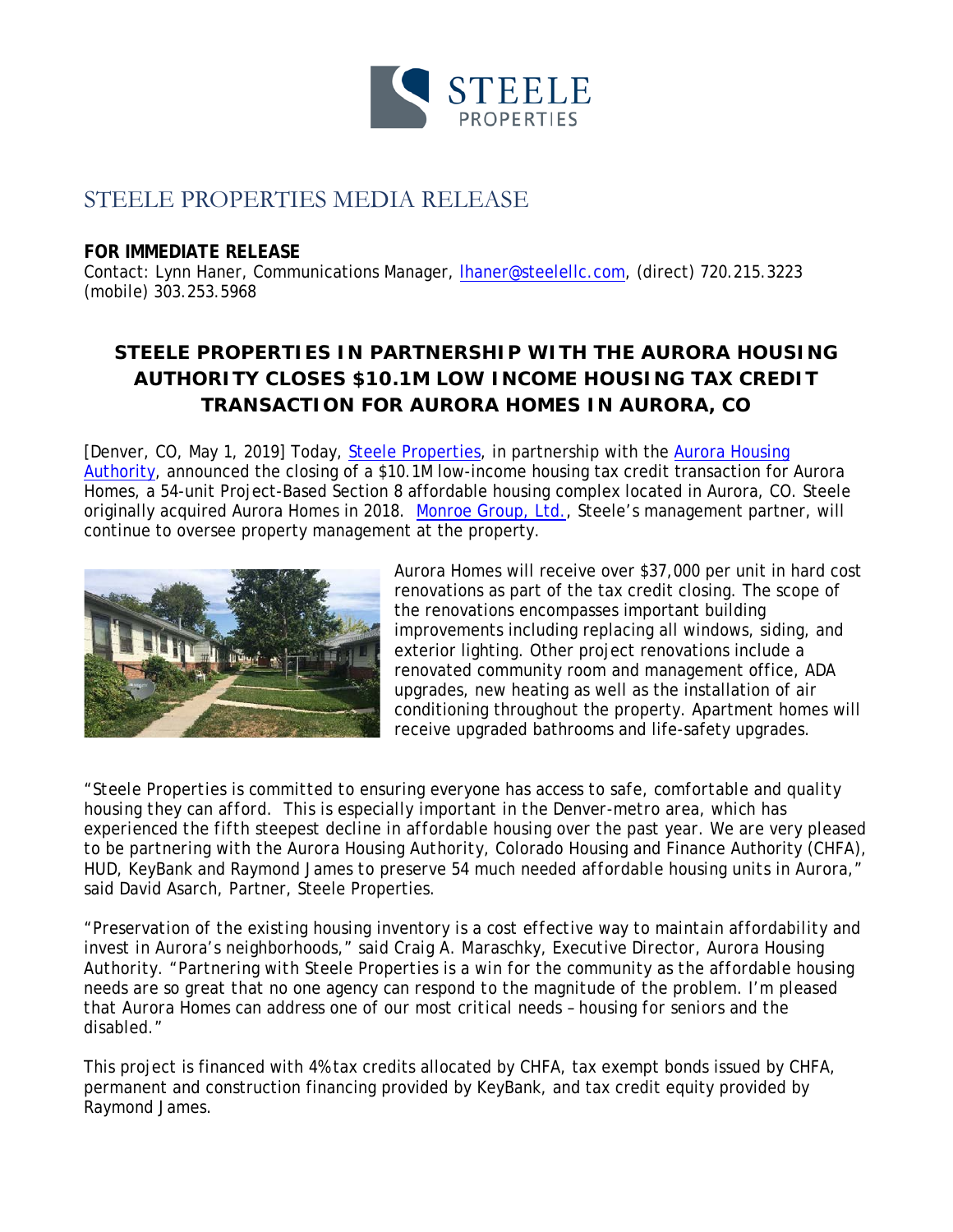

# STEELE PROPERTIES MEDIA RELEASE

### **FOR IMMEDIATE RELEASE**

Contact: Lynn Haner, Communications Manager, *Ihaner@steelellc.com*, (direct) 720.215.3223 (mobile) 303.253.5968

## **STEELE PROPERTIES IN PARTNERSHIP WITH THE AURORA HOUSING AUTHORITY CLOSES \$10.1M LOW INCOME HOUSING TAX CREDIT TRANSACTION FOR AURORA HOMES IN AURORA, CO**

[Denver, CO, May 1, 2019] Today, [Steele Properties,](http://www.steelellc.com/) in partnership with the Aurora Housing [Authority,](https://www.aurorahousing.org/) announced the closing of a \$10.1M low-income housing tax credit transaction for Aurora Homes, a 54-unit Project-Based Section 8 affordable housing complex located in Aurora, CO. Steele originally acquired Aurora Homes in 2018. [Monroe Group, Ltd.](http://www.monroegroup.com/), Steele's management partner, will continue to oversee property management at the property.



Aurora Homes will receive over \$37,000 per unit in hard cost renovations as part of the tax credit closing. The scope of the renovations encompasses important building improvements including replacing all windows, siding, and exterior lighting. Other project renovations include a renovated community room and management office, ADA upgrades, new heating as well as the installation of air conditioning throughout the property. Apartment homes will receive upgraded bathrooms and life-safety upgrades.

"*Steele Properties is committed to ensuring everyone has access to safe, comfortable and quality housing they can afford. This is especially important in the Denver-metro area, which has experienced the fifth steepest decline in affordable housing over the past year. We are very pleased to be partnering with the Aurora Housing Authority,* Colorado Housing and Finance Authority (*CHFA), HUD, KeyBank and Raymond James to preserve 54 much needed affordable housing units in Aurora*," said David Asarch, Partner, Steele Properties*.*

*"Preservation of the existing housing inventory is a cost effective way to maintain affordability and invest in Aurora's neighborhoods," said Craig A. Maraschky, Executive Director, Aurora Housing Authority. "Partnering with Steele Properties is a win for the community as the affordable housing needs are so great that no one agency can respond to the magnitude of the problem. I'm pleased that Aurora Homes can address one of our most critical needs – housing for seniors and the disabled."*

This project is financed with 4% tax credits allocated by CHFA, tax exempt bonds issued by CHFA, permanent and construction financing provided by KeyBank, and tax credit equity provided by Raymond James.